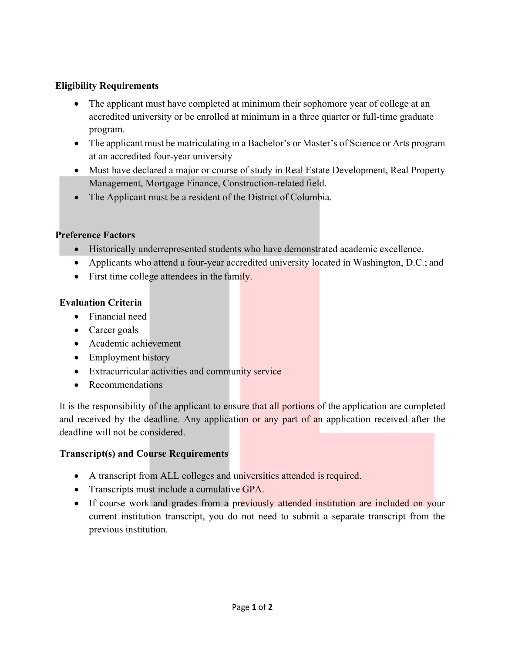## **Eligibility Requirements**

- The applicant must have completed at minimum their sophomore year of college at an accredited university or be enrolled at minimum in a three quarter or full-time graduate program.
- The applicant must be matriculating in a Bachelor's or Master's of Science or Arts program at an accredited four-year university
- Must have declared a major or course of study in Real Estate Development, Real Property Management, Mortgage Finance, Construction-related field.
- The Applicant must be a resident of the District of Columbia.

### **Preference Factors**

- Historically underrepresented students who have demonstrated academic excellence.
- Applicants who attend a four-year accredited university located in Washington, D.C.; and
- First time college attendees in the family.

### **Evaluation Criteria**

- Financial need
- Career goals
- Academic achievement
- Employment history
- Extracurricular activities and community service
- Recommendations

It is the responsibility of the applicant to ensure that all portions of the application are completed and received by the deadline. Any application or any part of an application received after the deadline will not be considered.

#### **Transcript(s) and Course Requirements**

- A transcript from ALL colleges and universities attended is required.
- Transcripts must include a cumulative GPA.
- If course work and grades from a previously attended institution are included on your current institution transcript, you do not need to submit a separate transcript from the previous institution.